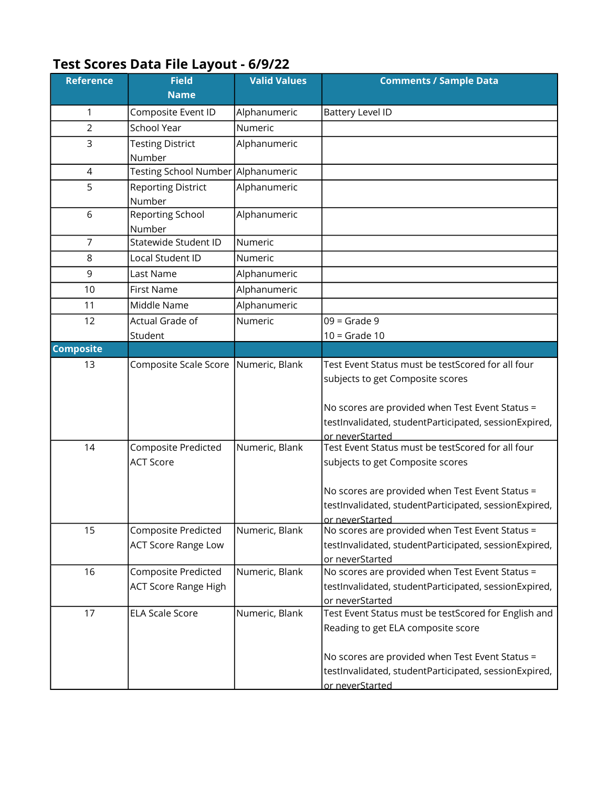## Test Scores Data File Layout - 6/9/22

| <b>Reference</b> | <b>Field</b>                                             | <b>Valid Values</b> | <b>Comments / Sample Data</b>                                                                                                                                                                                        |
|------------------|----------------------------------------------------------|---------------------|----------------------------------------------------------------------------------------------------------------------------------------------------------------------------------------------------------------------|
|                  | <b>Name</b>                                              |                     |                                                                                                                                                                                                                      |
| 1                | Composite Event ID                                       | Alphanumeric        | <b>Battery Level ID</b>                                                                                                                                                                                              |
| 2                | School Year                                              | Numeric             |                                                                                                                                                                                                                      |
| 3                | <b>Testing District</b>                                  | Alphanumeric        |                                                                                                                                                                                                                      |
|                  | Number                                                   |                     |                                                                                                                                                                                                                      |
| $\overline{4}$   | Testing School Number Alphanumeric                       |                     |                                                                                                                                                                                                                      |
| 5                | <b>Reporting District</b>                                | Alphanumeric        |                                                                                                                                                                                                                      |
|                  | Number                                                   |                     |                                                                                                                                                                                                                      |
| 6                | Reporting School                                         | Alphanumeric        |                                                                                                                                                                                                                      |
|                  | Number                                                   |                     |                                                                                                                                                                                                                      |
| $\overline{7}$   | Statewide Student ID                                     | Numeric             |                                                                                                                                                                                                                      |
| 8                | Local Student ID                                         | Numeric             |                                                                                                                                                                                                                      |
| 9                | Last Name                                                | Alphanumeric        |                                                                                                                                                                                                                      |
| 10               | First Name                                               | Alphanumeric        |                                                                                                                                                                                                                      |
| 11               | Middle Name                                              | Alphanumeric        |                                                                                                                                                                                                                      |
| 12               | Actual Grade of                                          | Numeric             | $09 =$ Grade 9                                                                                                                                                                                                       |
|                  | Student                                                  |                     | $10 =$ Grade 10                                                                                                                                                                                                      |
| <b>Composite</b> |                                                          |                     |                                                                                                                                                                                                                      |
| 13               | Composite Scale Score                                    | Numeric, Blank      | Test Event Status must be testScored for all four<br>subjects to get Composite scores<br>No scores are provided when Test Event Status =<br>testInvalidated, studentParticipated, sessionExpired,<br>or neverStarted |
| 14               | Composite Predicted<br><b>ACT Score</b>                  | Numeric, Blank      | Test Event Status must be testScored for all four<br>subjects to get Composite scores<br>No scores are provided when Test Event Status =<br>testInvalidated, studentParticipated, sessionExpired,<br>or neverStarted |
| 15               | <b>Composite Predicted</b><br><b>ACT Score Range Low</b> | Numeric, Blank      | No scores are provided when Test Event Status =<br>testInvalidated, studentParticipated, sessionExpired,<br>or neverStarted                                                                                          |
| 16               | Composite Predicted                                      | Numeric, Blank      | No scores are provided when Test Event Status =                                                                                                                                                                      |
|                  | <b>ACT Score Range High</b>                              |                     | testInvalidated, studentParticipated, sessionExpired,                                                                                                                                                                |
|                  |                                                          |                     | or neverStarted                                                                                                                                                                                                      |
| 17               | <b>ELA Scale Score</b>                                   | Numeric, Blank      | Test Event Status must be testScored for English and<br>Reading to get ELA composite score                                                                                                                           |
|                  |                                                          |                     | No scores are provided when Test Event Status =                                                                                                                                                                      |
|                  |                                                          |                     | testInvalidated, studentParticipated, sessionExpired,                                                                                                                                                                |
|                  |                                                          |                     | or neverStarted                                                                                                                                                                                                      |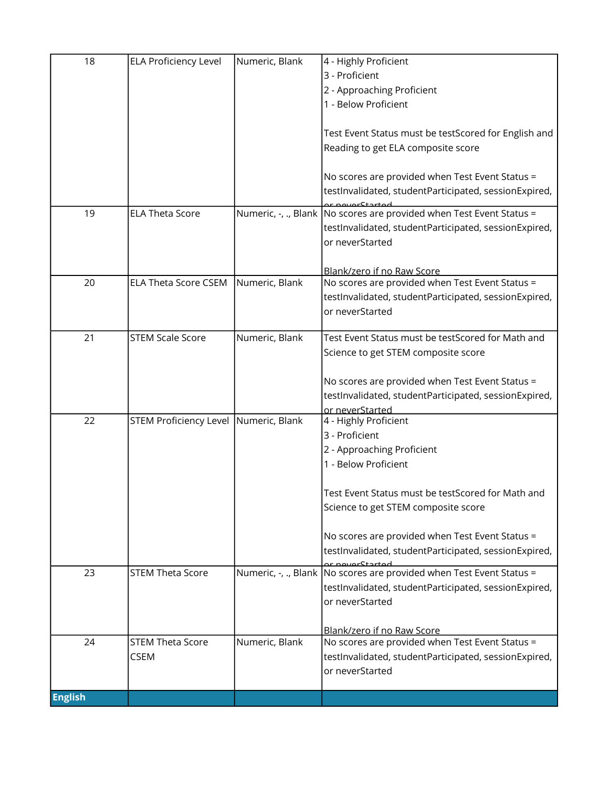| 18             | <b>ELA Proficiency Level</b>          | Numeric, Blank | 4 - Highly Proficient<br>3 - Proficient<br>2 - Approaching Proficient                                    |
|----------------|---------------------------------------|----------------|----------------------------------------------------------------------------------------------------------|
|                |                                       |                | 1 - Below Proficient                                                                                     |
|                |                                       |                | Test Event Status must be testScored for English and<br>Reading to get ELA composite score               |
|                |                                       |                |                                                                                                          |
|                |                                       |                | No scores are provided when Test Event Status =<br>testInvalidated, studentParticipated, sessionExpired, |
| 19             | <b>ELA Theta Score</b>                |                | Numeric, -, ., Blank No scores are provided when Test Event Status =                                     |
|                |                                       |                | testInvalidated, studentParticipated, sessionExpired,<br>or neverStarted                                 |
|                |                                       |                | Blank/zero if no Raw Score                                                                               |
| 20             | <b>ELA Theta Score CSEM</b>           | Numeric, Blank | No scores are provided when Test Event Status =                                                          |
|                |                                       |                | testInvalidated, studentParticipated, sessionExpired,<br>or neverStarted                                 |
|                |                                       |                |                                                                                                          |
| 21             | <b>STEM Scale Score</b>               | Numeric, Blank | Test Event Status must be testScored for Math and                                                        |
|                |                                       |                | Science to get STEM composite score                                                                      |
|                |                                       |                | No scores are provided when Test Event Status =                                                          |
|                |                                       |                | testInvalidated, studentParticipated, sessionExpired,                                                    |
| 22             | STEM Proficiency Level Numeric, Blank |                | or neverStarted<br>4 - Highly Proficient                                                                 |
|                |                                       |                | 3 - Proficient                                                                                           |
|                |                                       |                | 2 - Approaching Proficient                                                                               |
|                |                                       |                | 1 - Below Proficient                                                                                     |
|                |                                       |                | Test Event Status must be testScored for Math and                                                        |
|                |                                       |                | Science to get STEM composite score                                                                      |
|                |                                       |                |                                                                                                          |
|                |                                       |                | No scores are provided when Test Event Status =<br>testInvalidated, studentParticipated, sessionExpired, |
| 23             | <b>STEM Theta Score</b>               |                | Numeric, -, ., Blank No scores are provided when Test Event Status =                                     |
|                |                                       |                | testInvalidated, studentParticipated, sessionExpired,                                                    |
|                |                                       |                | or neverStarted                                                                                          |
|                |                                       |                | Blank/zero if no Raw Score                                                                               |
| 24             | <b>STEM Theta Score</b>               | Numeric, Blank | No scores are provided when Test Event Status =                                                          |
|                | <b>CSEM</b>                           |                | testInvalidated, studentParticipated, sessionExpired,<br>or neverStarted                                 |
|                |                                       |                |                                                                                                          |
| <b>English</b> |                                       |                |                                                                                                          |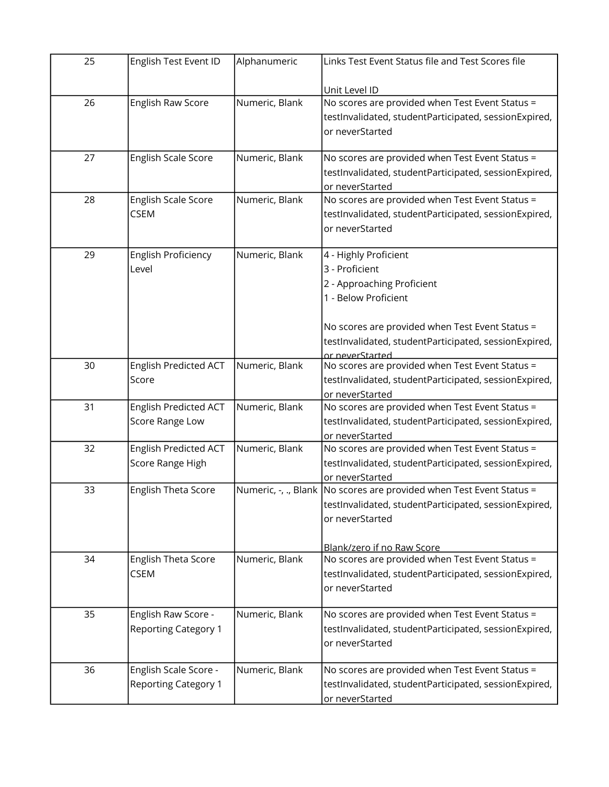| 25 | English Test Event ID        | Alphanumeric   | Links Test Event Status file and Test Scores file                    |
|----|------------------------------|----------------|----------------------------------------------------------------------|
|    |                              |                | Unit Level ID                                                        |
| 26 | English Raw Score            | Numeric, Blank | No scores are provided when Test Event Status =                      |
|    |                              |                | testInvalidated, studentParticipated, sessionExpired,                |
|    |                              |                | or neverStarted                                                      |
|    |                              |                |                                                                      |
| 27 | English Scale Score          | Numeric, Blank | No scores are provided when Test Event Status =                      |
|    |                              |                | testInvalidated, studentParticipated, sessionExpired,                |
|    |                              |                | or neverStarted                                                      |
| 28 | English Scale Score          | Numeric, Blank | No scores are provided when Test Event Status =                      |
|    | <b>CSEM</b>                  |                | testInvalidated, studentParticipated, sessionExpired,                |
|    |                              |                | or neverStarted                                                      |
| 29 | <b>English Proficiency</b>   | Numeric, Blank | 4 - Highly Proficient                                                |
|    | Level                        |                | 3 - Proficient                                                       |
|    |                              |                | 2 - Approaching Proficient                                           |
|    |                              |                | 1 - Below Proficient                                                 |
|    |                              |                |                                                                      |
|    |                              |                | No scores are provided when Test Event Status =                      |
|    |                              |                | testInvalidated, studentParticipated, sessionExpired,                |
|    |                              |                | or neverStarted                                                      |
| 30 | <b>English Predicted ACT</b> | Numeric, Blank | No scores are provided when Test Event Status =                      |
|    | Score                        |                | testInvalidated, studentParticipated, sessionExpired,                |
|    |                              |                | or neverStarted                                                      |
| 31 | <b>English Predicted ACT</b> | Numeric, Blank | No scores are provided when Test Event Status =                      |
|    | Score Range Low              |                | testInvalidated, studentParticipated, sessionExpired,                |
| 32 | <b>English Predicted ACT</b> | Numeric, Blank | or neverStarted<br>No scores are provided when Test Event Status =   |
|    | Score Range High             |                | testInvalidated, studentParticipated, sessionExpired,                |
|    |                              |                | or neverStarted                                                      |
| 33 | <b>English Theta Score</b>   |                | Numeric, -, ., Blank No scores are provided when Test Event Status = |
|    |                              |                | testInvalidated, studentParticipated, sessionExpired,                |
|    |                              |                | or neverStarted                                                      |
|    |                              |                |                                                                      |
|    |                              |                | Blank/zero if no Raw Score                                           |
| 34 | English Theta Score          | Numeric, Blank | No scores are provided when Test Event Status =                      |
|    | <b>CSEM</b>                  |                | testInvalidated, studentParticipated, sessionExpired,                |
|    |                              |                | or neverStarted                                                      |
|    |                              |                |                                                                      |
| 35 | English Raw Score -          | Numeric, Blank | No scores are provided when Test Event Status =                      |
|    | <b>Reporting Category 1</b>  |                | testInvalidated, studentParticipated, sessionExpired,                |
|    |                              |                | or neverStarted                                                      |
| 36 | English Scale Score -        | Numeric, Blank | No scores are provided when Test Event Status =                      |
|    | <b>Reporting Category 1</b>  |                | testInvalidated, studentParticipated, sessionExpired,                |
|    |                              |                | or neverStarted                                                      |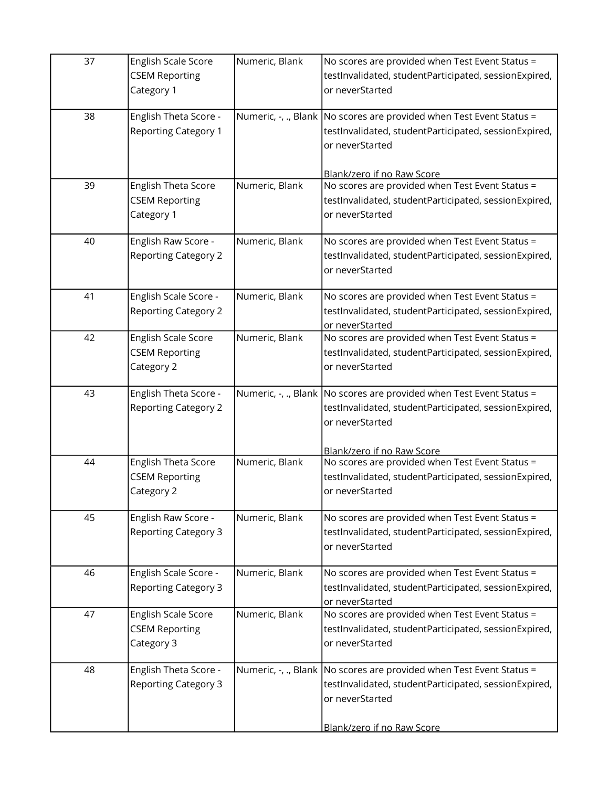| 37 | English Scale Score<br><b>CSEM Reporting</b><br>Category 1 | Numeric, Blank | No scores are provided when Test Event Status =<br>testInvalidated, studentParticipated, sessionExpired,<br>or neverStarted                                                       |
|----|------------------------------------------------------------|----------------|-----------------------------------------------------------------------------------------------------------------------------------------------------------------------------------|
| 38 | English Theta Score -<br><b>Reporting Category 1</b>       |                | Numeric, $-$ , ., Blank   No scores are provided when Test Event Status =<br>testInvalidated, studentParticipated, sessionExpired,<br>or neverStarted                             |
| 39 | English Theta Score<br><b>CSEM Reporting</b><br>Category 1 | Numeric, Blank | Blank/zero if no Raw Score<br>No scores are provided when Test Event Status =<br>testInvalidated, studentParticipated, sessionExpired,<br>or neverStarted                         |
| 40 | English Raw Score -<br><b>Reporting Category 2</b>         | Numeric, Blank | No scores are provided when Test Event Status =<br>testInvalidated, studentParticipated, sessionExpired,<br>or neverStarted                                                       |
| 41 | English Scale Score -<br><b>Reporting Category 2</b>       | Numeric, Blank | No scores are provided when Test Event Status =<br>testInvalidated, studentParticipated, sessionExpired,<br>or neverStarted                                                       |
| 42 | English Scale Score<br><b>CSEM Reporting</b><br>Category 2 | Numeric, Blank | No scores are provided when Test Event Status =<br>testInvalidated, studentParticipated, sessionExpired,<br>or neverStarted                                                       |
| 43 | English Theta Score -<br><b>Reporting Category 2</b>       |                | Numeric, -, ., Blank   No scores are provided when Test Event Status =<br>testInvalidated, studentParticipated, sessionExpired,<br>or neverStarted                                |
| 44 | English Theta Score<br><b>CSEM Reporting</b><br>Category 2 | Numeric, Blank | Blank/zero if no Raw Score<br>No scores are provided when Test Event Status =<br>testInvalidated, studentParticipated, sessionExpired,<br>or neverStarted                         |
| 45 | English Raw Score -<br><b>Reporting Category 3</b>         | Numeric, Blank | No scores are provided when Test Event Status =<br>testInvalidated, studentParticipated, sessionExpired,<br>or neverStarted                                                       |
| 46 | English Scale Score -<br><b>Reporting Category 3</b>       | Numeric, Blank | No scores are provided when Test Event Status =<br>testInvalidated, studentParticipated, sessionExpired,<br>or neverStarted                                                       |
| 47 | English Scale Score<br><b>CSEM Reporting</b><br>Category 3 | Numeric, Blank | No scores are provided when Test Event Status =<br>testInvalidated, studentParticipated, sessionExpired,<br>or neverStarted                                                       |
| 48 | English Theta Score -<br><b>Reporting Category 3</b>       |                | Numeric, $-$ , ., Blank No scores are provided when Test Event Status =<br>testInvalidated, studentParticipated, sessionExpired,<br>or neverStarted<br>Blank/zero if no Raw Score |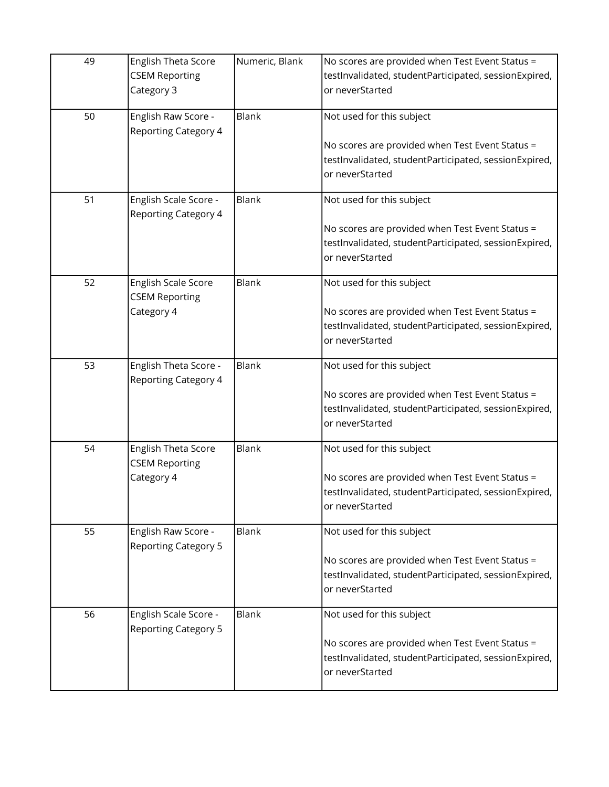| 49 | English Theta Score<br><b>CSEM Reporting</b><br>Category 3 | Numeric, Blank | No scores are provided when Test Event Status =<br>testInvalidated, studentParticipated, sessionExpired,<br>or neverStarted                              |
|----|------------------------------------------------------------|----------------|----------------------------------------------------------------------------------------------------------------------------------------------------------|
| 50 | English Raw Score -<br><b>Reporting Category 4</b>         | Blank          | Not used for this subject<br>No scores are provided when Test Event Status =<br>testInvalidated, studentParticipated, sessionExpired,<br>or neverStarted |
| 51 | English Scale Score -<br><b>Reporting Category 4</b>       | Blank          | Not used for this subject<br>No scores are provided when Test Event Status =<br>testInvalidated, studentParticipated, sessionExpired,<br>or neverStarted |
| 52 | English Scale Score<br><b>CSEM Reporting</b><br>Category 4 | Blank          | Not used for this subject<br>No scores are provided when Test Event Status =<br>testInvalidated, studentParticipated, sessionExpired,<br>or neverStarted |
| 53 | English Theta Score -<br><b>Reporting Category 4</b>       | Blank          | Not used for this subject<br>No scores are provided when Test Event Status =<br>testInvalidated, studentParticipated, sessionExpired,<br>or neverStarted |
| 54 | English Theta Score<br><b>CSEM Reporting</b><br>Category 4 | Blank          | Not used for this subject<br>No scores are provided when Test Event Status =<br>testInvalidated, studentParticipated, sessionExpired,<br>or neverStarted |
| 55 | English Raw Score -<br><b>Reporting Category 5</b>         | <b>Blank</b>   | Not used for this subject<br>No scores are provided when Test Event Status =<br>testInvalidated, studentParticipated, sessionExpired,<br>or neverStarted |
| 56 | English Scale Score -<br><b>Reporting Category 5</b>       | <b>Blank</b>   | Not used for this subject<br>No scores are provided when Test Event Status =<br>testInvalidated, studentParticipated, sessionExpired,<br>or neverStarted |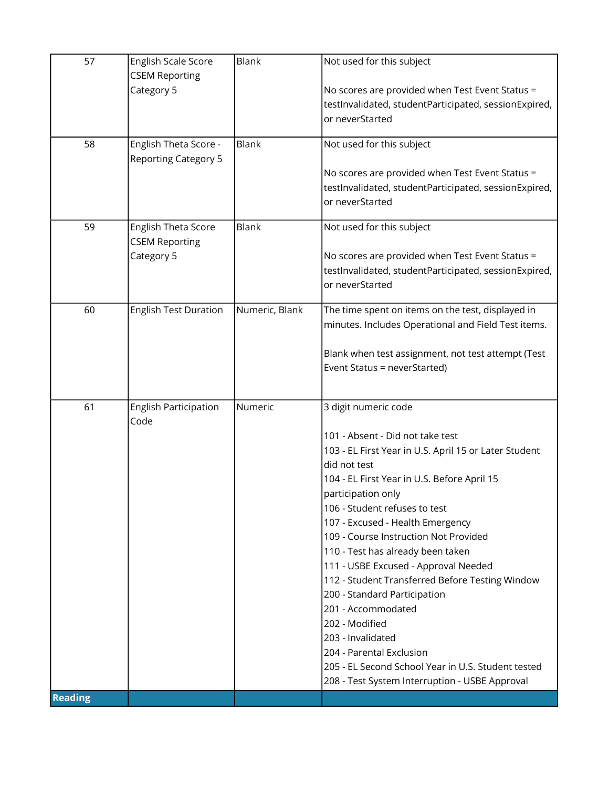| 57             | English Scale Score                 | Blank          | Not used for this subject                                                                                |
|----------------|-------------------------------------|----------------|----------------------------------------------------------------------------------------------------------|
|                | <b>CSEM Reporting</b>               |                |                                                                                                          |
|                | Category 5                          |                | No scores are provided when Test Event Status =<br>testInvalidated, studentParticipated, sessionExpired, |
|                |                                     |                | or neverStarted                                                                                          |
|                |                                     |                |                                                                                                          |
| 58             | English Theta Score -               | <b>Blank</b>   | Not used for this subject                                                                                |
|                | <b>Reporting Category 5</b>         |                | No scores are provided when Test Event Status =                                                          |
|                |                                     |                | testInvalidated, studentParticipated, sessionExpired,                                                    |
|                |                                     |                | or neverStarted                                                                                          |
|                |                                     |                |                                                                                                          |
| 59             | English Theta Score                 | Blank          | Not used for this subject                                                                                |
|                | <b>CSEM Reporting</b><br>Category 5 |                | No scores are provided when Test Event Status =                                                          |
|                |                                     |                | testInvalidated, studentParticipated, sessionExpired,                                                    |
|                |                                     |                | or neverStarted                                                                                          |
|                |                                     |                |                                                                                                          |
| 60             | <b>English Test Duration</b>        | Numeric, Blank | The time spent on items on the test, displayed in<br>minutes. Includes Operational and Field Test items. |
|                |                                     |                |                                                                                                          |
|                |                                     |                | Blank when test assignment, not test attempt (Test                                                       |
|                |                                     |                | Event Status = neverStarted)                                                                             |
|                |                                     |                |                                                                                                          |
| 61             | English Participation               | Numeric        | 3 digit numeric code                                                                                     |
|                | Code                                |                |                                                                                                          |
|                |                                     |                | 101 - Absent - Did not take test                                                                         |
|                |                                     |                | 103 - EL First Year in U.S. April 15 or Later Student                                                    |
|                |                                     |                | did not test<br>104 - EL First Year in U.S. Before April 15                                              |
|                |                                     |                | participation only                                                                                       |
|                |                                     |                | 106 - Student refuses to test                                                                            |
|                |                                     |                | 107 - Excused - Health Emergency                                                                         |
|                |                                     |                | 109 - Course Instruction Not Provided                                                                    |
|                |                                     |                | 110 - Test has already been taken                                                                        |
|                |                                     |                | 111 - USBE Excused - Approval Needed                                                                     |
|                |                                     |                | 112 - Student Transferred Before Testing Window<br>200 - Standard Participation                          |
|                |                                     |                | 201 - Accommodated                                                                                       |
|                |                                     |                | 202 - Modified                                                                                           |
|                |                                     |                | 203 - Invalidated                                                                                        |
|                |                                     |                | 204 - Parental Exclusion                                                                                 |
|                |                                     |                | 205 - EL Second School Year in U.S. Student tested                                                       |
| <b>Reading</b> |                                     |                | 208 - Test System Interruption - USBE Approval                                                           |
|                |                                     |                |                                                                                                          |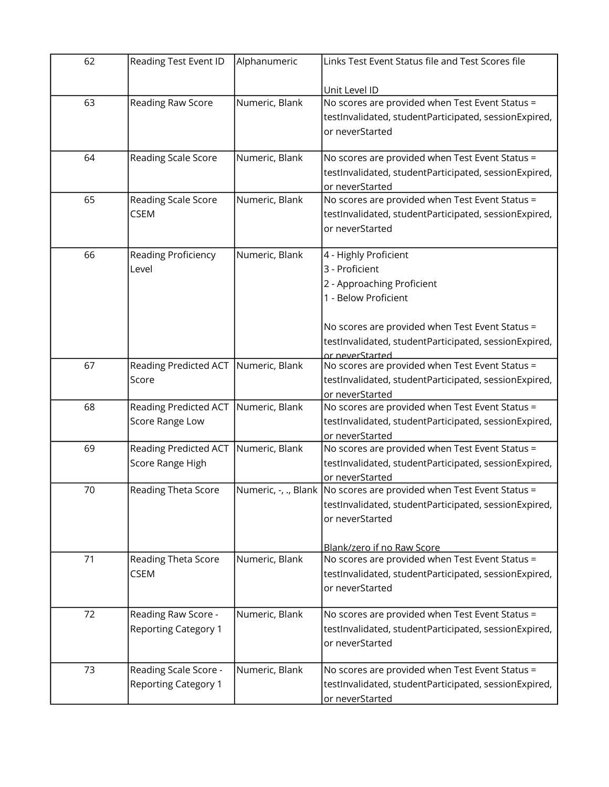| 62 | Reading Test Event ID        | Alphanumeric   | Links Test Event Status file and Test Scores file                    |
|----|------------------------------|----------------|----------------------------------------------------------------------|
|    |                              |                | Unit Level ID                                                        |
| 63 | Reading Raw Score            | Numeric, Blank | No scores are provided when Test Event Status =                      |
|    |                              |                | testInvalidated, studentParticipated, sessionExpired,                |
|    |                              |                | or neverStarted                                                      |
|    |                              |                |                                                                      |
| 64 | Reading Scale Score          | Numeric, Blank | No scores are provided when Test Event Status =                      |
|    |                              |                | testInvalidated, studentParticipated, sessionExpired,                |
|    |                              |                | or neverStarted                                                      |
| 65 | Reading Scale Score          | Numeric, Blank | No scores are provided when Test Event Status =                      |
|    | <b>CSEM</b>                  |                | testInvalidated, studentParticipated, sessionExpired,                |
|    |                              |                | or neverStarted                                                      |
|    |                              |                |                                                                      |
| 66 | Reading Proficiency          | Numeric, Blank | 4 - Highly Proficient                                                |
|    | Level                        |                | 3 - Proficient                                                       |
|    |                              |                | 2 - Approaching Proficient                                           |
|    |                              |                | 1 - Below Proficient                                                 |
|    |                              |                |                                                                      |
|    |                              |                | No scores are provided when Test Event Status =                      |
|    |                              |                | testInvalidated, studentParticipated, sessionExpired,                |
| 67 | <b>Reading Predicted ACT</b> | Numeric, Blank | or neverStarted<br>No scores are provided when Test Event Status =   |
|    | Score                        |                | testInvalidated, studentParticipated, sessionExpired,                |
|    |                              |                | or neverStarted                                                      |
| 68 | <b>Reading Predicted ACT</b> | Numeric, Blank | No scores are provided when Test Event Status =                      |
|    | Score Range Low              |                | testInvalidated, studentParticipated, sessionExpired,                |
|    |                              |                | or neverStarted                                                      |
| 69 | <b>Reading Predicted ACT</b> | Numeric, Blank | No scores are provided when Test Event Status =                      |
|    | Score Range High             |                | testInvalidated, studentParticipated, sessionExpired,                |
|    |                              |                | or neverStarted                                                      |
| 70 | Reading Theta Score          |                | Numeric, -, ., Blank No scores are provided when Test Event Status = |
|    |                              |                | testInvalidated, studentParticipated, sessionExpired,                |
|    |                              |                | or neverStarted                                                      |
|    |                              |                |                                                                      |
|    |                              |                | Blank/zero if no Raw Score                                           |
| 71 | Reading Theta Score          | Numeric, Blank | No scores are provided when Test Event Status =                      |
|    | <b>CSEM</b>                  |                | testInvalidated, studentParticipated, sessionExpired,                |
|    |                              |                | or neverStarted                                                      |
|    |                              |                |                                                                      |
| 72 | Reading Raw Score -          | Numeric, Blank | No scores are provided when Test Event Status =                      |
|    | <b>Reporting Category 1</b>  |                | testInvalidated, studentParticipated, sessionExpired,                |
|    |                              |                | or neverStarted                                                      |
|    |                              |                |                                                                      |
| 73 | Reading Scale Score -        | Numeric, Blank | No scores are provided when Test Event Status =                      |
|    | <b>Reporting Category 1</b>  |                | testInvalidated, studentParticipated, sessionExpired,                |
|    |                              |                | or neverStarted                                                      |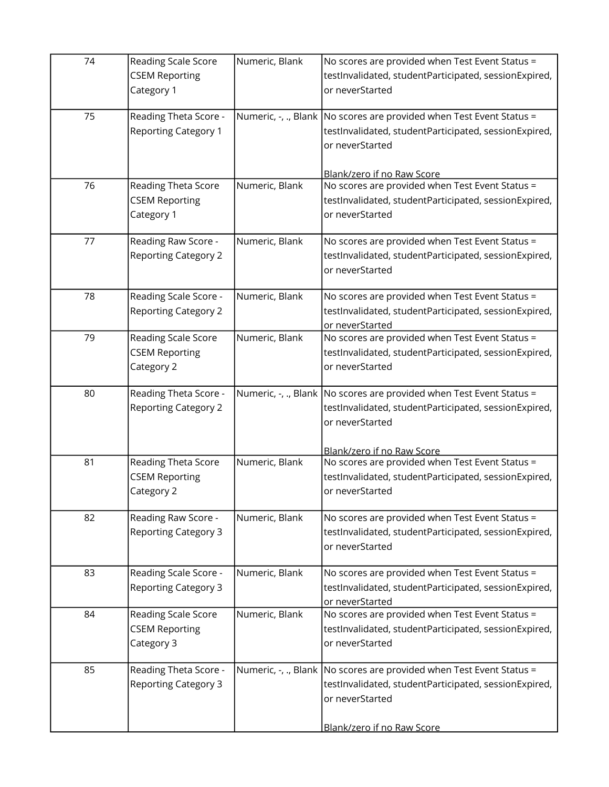| 74 | Reading Scale Score<br><b>CSEM Reporting</b><br>Category 1        | Numeric, Blank | No scores are provided when Test Event Status =<br>testInvalidated, studentParticipated, sessionExpired,<br>or neverStarted                                                      |
|----|-------------------------------------------------------------------|----------------|----------------------------------------------------------------------------------------------------------------------------------------------------------------------------------|
| 75 | Reading Theta Score -<br><b>Reporting Category 1</b>              |                | Numeric, $-$ , ., Blank No scores are provided when Test Event Status =<br>testInvalidated, studentParticipated, sessionExpired,<br>or neverStarted                              |
| 76 | <b>Reading Theta Score</b><br><b>CSEM Reporting</b><br>Category 1 | Numeric, Blank | Blank/zero if no Raw Score<br>No scores are provided when Test Event Status =<br>testInvalidated, studentParticipated, sessionExpired,<br>or neverStarted                        |
| 77 | Reading Raw Score -<br><b>Reporting Category 2</b>                | Numeric, Blank | No scores are provided when Test Event Status =<br>testInvalidated, studentParticipated, sessionExpired,<br>or neverStarted                                                      |
| 78 | Reading Scale Score -<br><b>Reporting Category 2</b>              | Numeric, Blank | No scores are provided when Test Event Status =<br>testInvalidated, studentParticipated, sessionExpired,<br>or neverStarted                                                      |
| 79 | Reading Scale Score<br><b>CSEM Reporting</b><br>Category 2        | Numeric, Blank | No scores are provided when Test Event Status =<br>testInvalidated, studentParticipated, sessionExpired,<br>or neverStarted                                                      |
| 80 | Reading Theta Score -<br><b>Reporting Category 2</b>              |                | Numeric, -, ., Blank   No scores are provided when Test Event Status =<br>testInvalidated, studentParticipated, sessionExpired,<br>or neverStarted                               |
| 81 | Reading Theta Score<br><b>CSEM Reporting</b><br>Category 2        | Numeric, Blank | Blank/zero if no Raw Score<br>No scores are provided when Test Event Status =<br>testInvalidated, studentParticipated, sessionExpired,<br>or neverStarted                        |
| 82 | Reading Raw Score -<br><b>Reporting Category 3</b>                | Numeric, Blank | No scores are provided when Test Event Status =<br>testInvalidated, studentParticipated, sessionExpired,<br>or neverStarted                                                      |
| 83 | Reading Scale Score -<br><b>Reporting Category 3</b>              | Numeric, Blank | No scores are provided when Test Event Status =<br>testInvalidated, studentParticipated, sessionExpired,<br>or neverStarted                                                      |
| 84 | Reading Scale Score<br><b>CSEM Reporting</b><br>Category 3        | Numeric, Blank | No scores are provided when Test Event Status =<br>testInvalidated, studentParticipated, sessionExpired,<br>or neverStarted                                                      |
| 85 | Reading Theta Score -<br><b>Reporting Category 3</b>              |                | Numeric, -, ., Blank   No scores are provided when Test Event Status =<br>testInvalidated, studentParticipated, sessionExpired,<br>or neverStarted<br>Blank/zero if no Raw Score |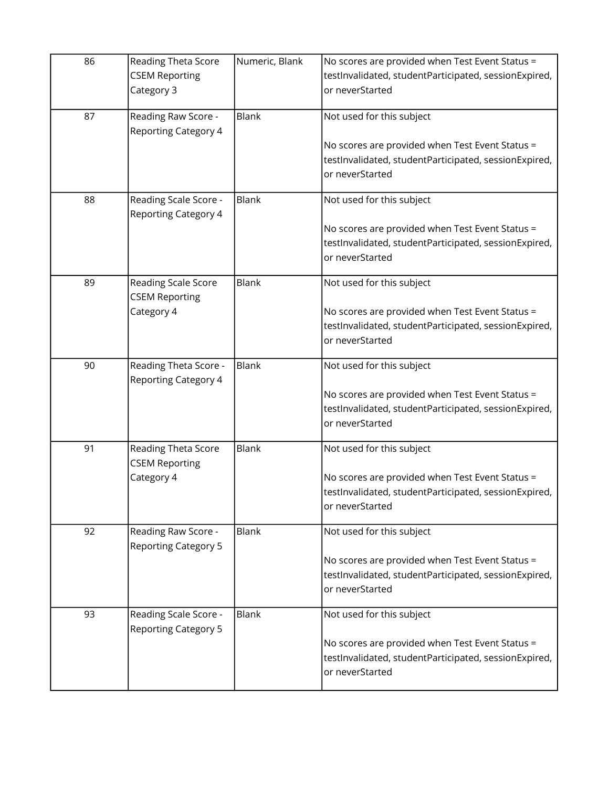| 86 | Reading Theta Score<br><b>CSEM Reporting</b><br>Category 3 | Numeric, Blank | No scores are provided when Test Event Status =<br>testInvalidated, studentParticipated, sessionExpired,<br>or neverStarted                              |
|----|------------------------------------------------------------|----------------|----------------------------------------------------------------------------------------------------------------------------------------------------------|
| 87 | Reading Raw Score -<br><b>Reporting Category 4</b>         | <b>Blank</b>   | Not used for this subject<br>No scores are provided when Test Event Status =<br>testInvalidated, studentParticipated, sessionExpired,<br>or neverStarted |
| 88 | Reading Scale Score -<br><b>Reporting Category 4</b>       | <b>Blank</b>   | Not used for this subject<br>No scores are provided when Test Event Status =<br>testInvalidated, studentParticipated, sessionExpired,<br>or neverStarted |
| 89 | Reading Scale Score<br><b>CSEM Reporting</b><br>Category 4 | Blank          | Not used for this subject<br>No scores are provided when Test Event Status =<br>testInvalidated, studentParticipated, sessionExpired,<br>or neverStarted |
| 90 | Reading Theta Score -<br><b>Reporting Category 4</b>       | Blank          | Not used for this subject<br>No scores are provided when Test Event Status =<br>testInvalidated, studentParticipated, sessionExpired,<br>or neverStarted |
| 91 | Reading Theta Score<br><b>CSEM Reporting</b><br>Category 4 | Blank          | Not used for this subject<br>No scores are provided when Test Event Status =<br>testInvalidated, studentParticipated, sessionExpired,<br>or neverStarted |
| 92 | Reading Raw Score -<br><b>Reporting Category 5</b>         | <b>Blank</b>   | Not used for this subject<br>No scores are provided when Test Event Status =<br>testInvalidated, studentParticipated, sessionExpired,<br>or neverStarted |
| 93 | Reading Scale Score -<br><b>Reporting Category 5</b>       | <b>Blank</b>   | Not used for this subject<br>No scores are provided when Test Event Status =<br>testInvalidated, studentParticipated, sessionExpired,<br>or neverStarted |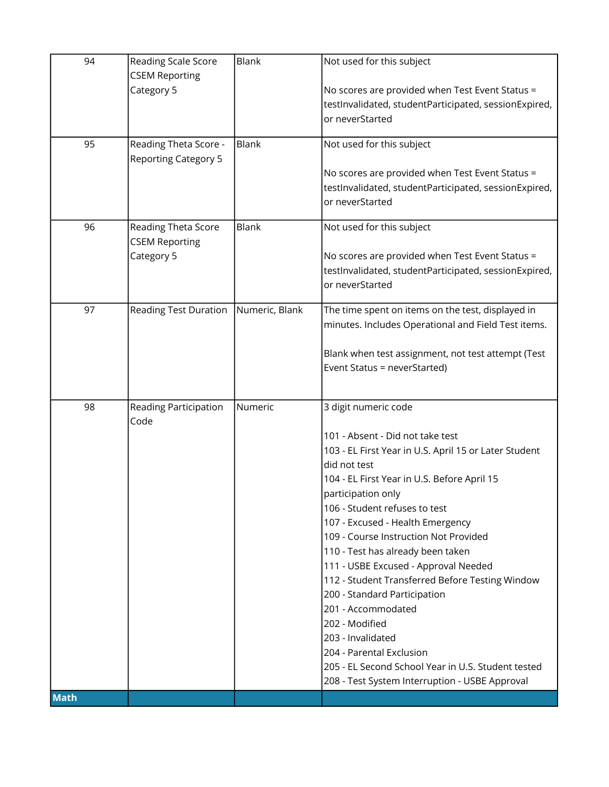| 94          | Reading Scale Score          | Blank          | Not used for this subject                                                                                |
|-------------|------------------------------|----------------|----------------------------------------------------------------------------------------------------------|
|             | <b>CSEM Reporting</b>        |                |                                                                                                          |
|             | Category 5                   |                | No scores are provided when Test Event Status =<br>testInvalidated, studentParticipated, sessionExpired, |
|             |                              |                | or neverStarted                                                                                          |
|             |                              |                |                                                                                                          |
| 95          | Reading Theta Score -        | <b>Blank</b>   | Not used for this subject                                                                                |
|             | <b>Reporting Category 5</b>  |                |                                                                                                          |
|             |                              |                | No scores are provided when Test Event Status =                                                          |
|             |                              |                | testInvalidated, studentParticipated, sessionExpired,<br>or neverStarted                                 |
|             |                              |                |                                                                                                          |
| 96          | Reading Theta Score          | <b>Blank</b>   | Not used for this subject                                                                                |
|             | <b>CSEM Reporting</b>        |                |                                                                                                          |
|             | Category 5                   |                | No scores are provided when Test Event Status =                                                          |
|             |                              |                | testInvalidated, studentParticipated, sessionExpired,                                                    |
|             |                              |                | or neverStarted                                                                                          |
| 97          | <b>Reading Test Duration</b> | Numeric, Blank | The time spent on items on the test, displayed in                                                        |
|             |                              |                | minutes. Includes Operational and Field Test items.                                                      |
|             |                              |                |                                                                                                          |
|             |                              |                | Blank when test assignment, not test attempt (Test                                                       |
|             |                              |                | Event Status = neverStarted)                                                                             |
|             |                              |                |                                                                                                          |
| 98          | Reading Participation        | Numeric        | 3 digit numeric code                                                                                     |
|             | Code                         |                |                                                                                                          |
|             |                              |                | 101 - Absent - Did not take test                                                                         |
|             |                              |                | 103 - EL First Year in U.S. April 15 or Later Student                                                    |
|             |                              |                | did not test<br>104 - EL First Year in U.S. Before April 15                                              |
|             |                              |                | participation only                                                                                       |
|             |                              |                | 106 - Student refuses to test                                                                            |
|             |                              |                | 107 - Excused - Health Emergency                                                                         |
|             |                              |                | 109 - Course Instruction Not Provided                                                                    |
|             |                              |                | 110 - Test has already been taken                                                                        |
|             |                              |                | 111 - USBE Excused - Approval Needed                                                                     |
|             |                              |                | 112 - Student Transferred Before Testing Window                                                          |
|             |                              |                | 200 - Standard Participation<br>201 - Accommodated                                                       |
|             |                              |                | 202 - Modified                                                                                           |
|             |                              |                | 203 - Invalidated                                                                                        |
|             |                              |                | 204 - Parental Exclusion                                                                                 |
|             |                              |                | 205 - EL Second School Year in U.S. Student tested                                                       |
|             |                              |                | 208 - Test System Interruption - USBE Approval                                                           |
| <b>Math</b> |                              |                |                                                                                                          |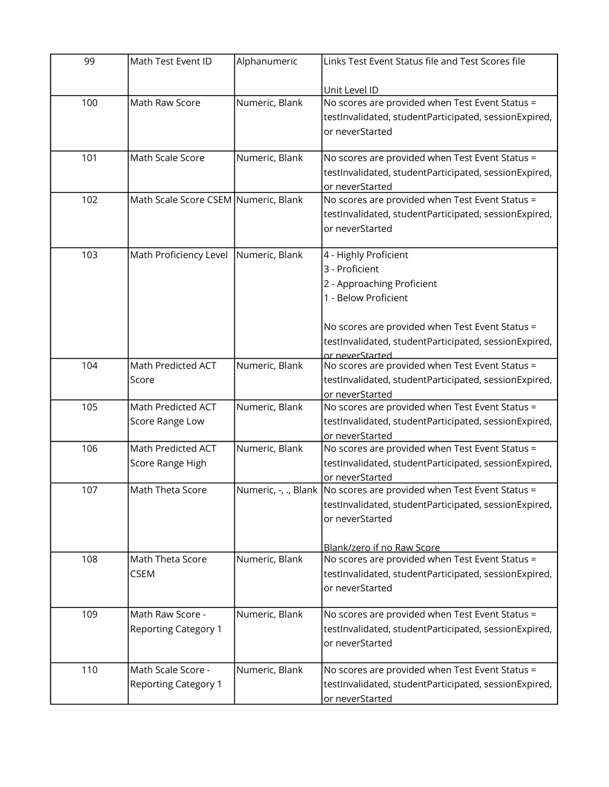| 99  | Math Test Event ID                   | Alphanumeric   | Links Test Event Status file and Test Scores file                      |
|-----|--------------------------------------|----------------|------------------------------------------------------------------------|
|     |                                      |                | Unit Level ID                                                          |
| 100 | Math Raw Score                       | Numeric, Blank | No scores are provided when Test Event Status =                        |
|     |                                      |                | testInvalidated, studentParticipated, sessionExpired,                  |
|     |                                      |                |                                                                        |
|     |                                      |                | or neverStarted                                                        |
| 101 | Math Scale Score                     | Numeric, Blank | No scores are provided when Test Event Status =                        |
|     |                                      |                | testInvalidated, studentParticipated, sessionExpired,                  |
|     |                                      |                | or neverStarted                                                        |
| 102 | Math Scale Score CSEM Numeric, Blank |                | No scores are provided when Test Event Status =                        |
|     |                                      |                | testInvalidated, studentParticipated, sessionExpired,                  |
|     |                                      |                | or neverStarted                                                        |
|     |                                      |                |                                                                        |
| 103 | Math Proficiency Level               | Numeric, Blank | 4 - Highly Proficient                                                  |
|     |                                      |                | 3 - Proficient                                                         |
|     |                                      |                | 2 - Approaching Proficient                                             |
|     |                                      |                | 1 - Below Proficient                                                   |
|     |                                      |                |                                                                        |
|     |                                      |                | No scores are provided when Test Event Status =                        |
|     |                                      |                | testInvalidated, studentParticipated, sessionExpired,                  |
|     |                                      |                | or neverStarted                                                        |
| 104 | Math Predicted ACT                   | Numeric, Blank | No scores are provided when Test Event Status =                        |
|     | Score                                |                | testInvalidated, studentParticipated, sessionExpired,                  |
|     |                                      |                | or neverStarted                                                        |
| 105 | Math Predicted ACT                   | Numeric, Blank | No scores are provided when Test Event Status =                        |
|     | Score Range Low                      |                | testInvalidated, studentParticipated, sessionExpired,                  |
|     |                                      |                | or neverStarted                                                        |
| 106 | Math Predicted ACT                   | Numeric, Blank | No scores are provided when Test Event Status =                        |
|     | Score Range High                     |                | testInvalidated, studentParticipated, sessionExpired,                  |
|     |                                      |                | or neverStarted                                                        |
| 107 | Math Theta Score                     |                | Numeric, -, ., Blank   No scores are provided when Test Event Status = |
|     |                                      |                | testInvalidated, studentParticipated, sessionExpired,                  |
|     |                                      |                | or neverStarted                                                        |
|     |                                      |                |                                                                        |
|     |                                      |                | Blank/zero if no Raw Score                                             |
| 108 | Math Theta Score                     | Numeric, Blank | No scores are provided when Test Event Status =                        |
|     | <b>CSEM</b>                          |                | testInvalidated, studentParticipated, sessionExpired,                  |
|     |                                      |                | or neverStarted                                                        |
|     |                                      |                |                                                                        |
| 109 | Math Raw Score -                     | Numeric, Blank | No scores are provided when Test Event Status =                        |
|     | <b>Reporting Category 1</b>          |                | testInvalidated, studentParticipated, sessionExpired,                  |
|     |                                      |                | or neverStarted                                                        |
|     |                                      |                |                                                                        |
| 110 | Math Scale Score -                   | Numeric, Blank | No scores are provided when Test Event Status =                        |
|     | <b>Reporting Category 1</b>          |                | testInvalidated, studentParticipated, sessionExpired,                  |
|     |                                      |                | or neverStarted                                                        |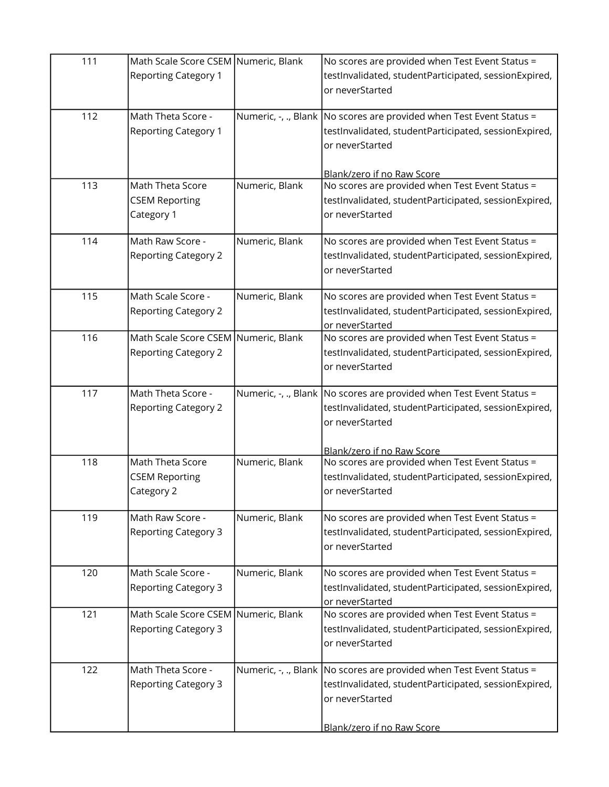| 111 | Math Scale Score CSEM Numeric, Blank<br><b>Reporting Category 1</b> |                | No scores are provided when Test Event Status =<br>testInvalidated, studentParticipated, sessionExpired,<br>or neverStarted                                                       |
|-----|---------------------------------------------------------------------|----------------|-----------------------------------------------------------------------------------------------------------------------------------------------------------------------------------|
| 112 | Math Theta Score -<br><b>Reporting Category 1</b>                   |                | Numeric, $-$ , ., Blank No scores are provided when Test Event Status =<br>testInvalidated, studentParticipated, sessionExpired,<br>or neverStarted                               |
| 113 | Math Theta Score<br><b>CSEM Reporting</b><br>Category 1             | Numeric, Blank | Blank/zero if no Raw Score<br>No scores are provided when Test Event Status =<br>testInvalidated, studentParticipated, sessionExpired,<br>or neverStarted                         |
| 114 | Math Raw Score -<br><b>Reporting Category 2</b>                     | Numeric, Blank | No scores are provided when Test Event Status =<br>testInvalidated, studentParticipated, sessionExpired,<br>or neverStarted                                                       |
| 115 | Math Scale Score -<br><b>Reporting Category 2</b>                   | Numeric, Blank | No scores are provided when Test Event Status =<br>testInvalidated, studentParticipated, sessionExpired,<br>or neverStarted                                                       |
| 116 | Math Scale Score CSEM Numeric, Blank<br><b>Reporting Category 2</b> |                | No scores are provided when Test Event Status =<br>testInvalidated, studentParticipated, sessionExpired,<br>or neverStarted                                                       |
| 117 | Math Theta Score -<br><b>Reporting Category 2</b>                   |                | Numeric, $-$ , ., Blank   No scores are provided when Test Event Status =<br>testInvalidated, studentParticipated, sessionExpired,<br>or neverStarted                             |
| 118 | Math Theta Score<br><b>CSEM Reporting</b><br>Category 2             | Numeric, Blank | Blank/zero if no Raw Score<br>No scores are provided when Test Event Status =<br>testInvalidated, studentParticipated, sessionExpired,<br>or neverStarted                         |
| 119 | Math Raw Score -<br><b>Reporting Category 3</b>                     | Numeric, Blank | No scores are provided when Test Event Status =<br>testInvalidated, studentParticipated, sessionExpired,<br>or neverStarted                                                       |
| 120 | Math Scale Score -<br><b>Reporting Category 3</b>                   | Numeric, Blank | No scores are provided when Test Event Status =<br>testInvalidated, studentParticipated, sessionExpired,<br>or neverStarted                                                       |
| 121 | Math Scale Score CSEM Numeric, Blank<br><b>Reporting Category 3</b> |                | No scores are provided when Test Event Status =<br>testInvalidated, studentParticipated, sessionExpired,<br>or neverStarted                                                       |
| 122 | Math Theta Score -<br><b>Reporting Category 3</b>                   |                | Numeric, $-$ , ., Blank No scores are provided when Test Event Status =<br>testInvalidated, studentParticipated, sessionExpired,<br>or neverStarted<br>Blank/zero if no Raw Score |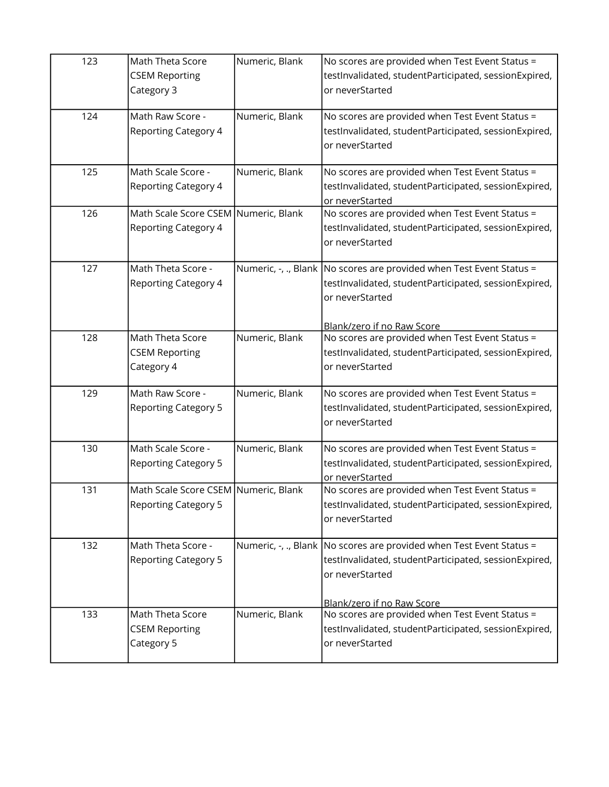| 123 | Math Theta Score<br><b>CSEM Reporting</b><br>Category 3             | Numeric, Blank | No scores are provided when Test Event Status =<br>testInvalidated, studentParticipated, sessionExpired,<br>or neverStarted                                                       |
|-----|---------------------------------------------------------------------|----------------|-----------------------------------------------------------------------------------------------------------------------------------------------------------------------------------|
| 124 | Math Raw Score -<br><b>Reporting Category 4</b>                     | Numeric, Blank | No scores are provided when Test Event Status =<br>testInvalidated, studentParticipated, sessionExpired,<br>or neverStarted                                                       |
| 125 | Math Scale Score -<br><b>Reporting Category 4</b>                   | Numeric, Blank | No scores are provided when Test Event Status =<br>testInvalidated, studentParticipated, sessionExpired,<br>or neverStarted                                                       |
| 126 | Math Scale Score CSEM Numeric, Blank<br><b>Reporting Category 4</b> |                | No scores are provided when Test Event Status =<br>testInvalidated, studentParticipated, sessionExpired,<br>or neverStarted                                                       |
| 127 | Math Theta Score -<br><b>Reporting Category 4</b>                   |                | Numeric, $\cdot$ , ., Blank No scores are provided when Test Event Status =<br>testInvalidated, studentParticipated, sessionExpired,<br>or neverStarted                           |
| 128 | Math Theta Score<br><b>CSEM Reporting</b><br>Category 4             | Numeric, Blank | Blank/zero if no Raw Score<br>No scores are provided when Test Event Status =<br>testInvalidated, studentParticipated, sessionExpired,<br>or neverStarted                         |
| 129 | Math Raw Score -<br><b>Reporting Category 5</b>                     | Numeric, Blank | No scores are provided when Test Event Status =<br>testInvalidated, studentParticipated, sessionExpired,<br>or neverStarted                                                       |
| 130 | Math Scale Score -<br><b>Reporting Category 5</b>                   | Numeric, Blank | No scores are provided when Test Event Status =<br>testInvalidated, studentParticipated, sessionExpired,<br>or neverStarted                                                       |
| 131 | Math Scale Score CSEM Numeric, Blank<br><b>Reporting Category 5</b> |                | No scores are provided when Test Event Status =<br>testInvalidated, studentParticipated, sessionExpired,<br>or neverStarted                                                       |
| 132 | Math Theta Score -<br><b>Reporting Category 5</b>                   |                | Numeric, $-$ , ., Blank No scores are provided when Test Event Status =<br>testInvalidated, studentParticipated, sessionExpired,<br>or neverStarted<br>Blank/zero if no Raw Score |
| 133 | Math Theta Score<br><b>CSEM Reporting</b><br>Category 5             | Numeric, Blank | No scores are provided when Test Event Status =<br>testInvalidated, studentParticipated, sessionExpired,<br>or neverStarted                                                       |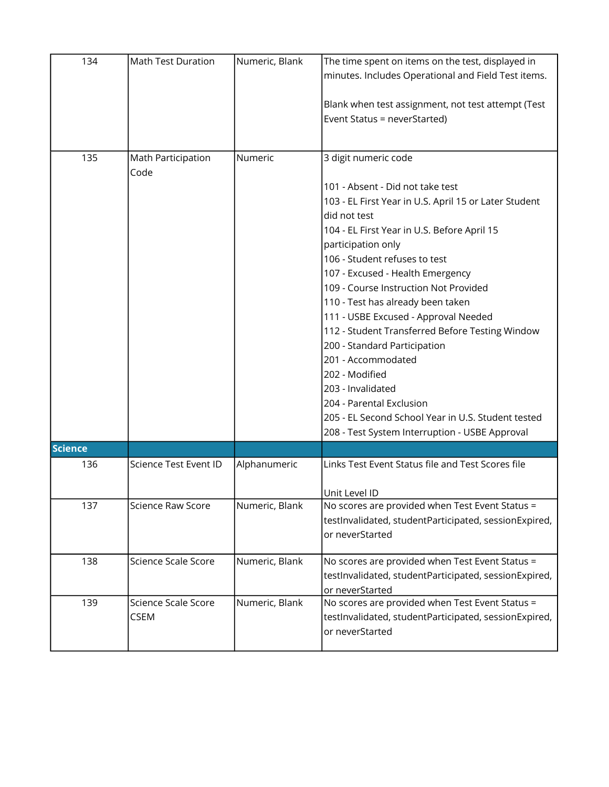| 134            | Math Test Duration                 | Numeric, Blank | The time spent on items on the test, displayed in<br>minutes. Includes Operational and Field Test items.<br>Blank when test assignment, not test attempt (Test<br>Event Status = neverStarted)                                                                                                                                                                                                                                                                                                                                                                                                                                                                                        |
|----------------|------------------------------------|----------------|---------------------------------------------------------------------------------------------------------------------------------------------------------------------------------------------------------------------------------------------------------------------------------------------------------------------------------------------------------------------------------------------------------------------------------------------------------------------------------------------------------------------------------------------------------------------------------------------------------------------------------------------------------------------------------------|
| 135            | Math Participation<br>Code         | Numeric        | 3 digit numeric code<br>101 - Absent - Did not take test<br>103 - EL First Year in U.S. April 15 or Later Student<br>did not test<br>104 - EL First Year in U.S. Before April 15<br>participation only<br>106 - Student refuses to test<br>107 - Excused - Health Emergency<br>109 - Course Instruction Not Provided<br>110 - Test has already been taken<br>111 - USBE Excused - Approval Needed<br>112 - Student Transferred Before Testing Window<br>200 - Standard Participation<br>201 - Accommodated<br>202 - Modified<br>203 - Invalidated<br>204 - Parental Exclusion<br>205 - EL Second School Year in U.S. Student tested<br>208 - Test System Interruption - USBE Approval |
| <b>Science</b> |                                    |                |                                                                                                                                                                                                                                                                                                                                                                                                                                                                                                                                                                                                                                                                                       |
| 136            | Science Test Event ID              | Alphanumeric   | Links Test Event Status file and Test Scores file<br>Unit Level ID                                                                                                                                                                                                                                                                                                                                                                                                                                                                                                                                                                                                                    |
| 137            | <b>Science Raw Score</b>           | Numeric, Blank | No scores are provided when Test Event Status =<br>testInvalidated, studentParticipated, sessionExpired,<br>or neverStarted                                                                                                                                                                                                                                                                                                                                                                                                                                                                                                                                                           |
| 138            | Science Scale Score                | Numeric, Blank | No scores are provided when Test Event Status =<br>testInvalidated, studentParticipated, sessionExpired,<br>or neverStarted                                                                                                                                                                                                                                                                                                                                                                                                                                                                                                                                                           |
| 139            | Science Scale Score<br><b>CSEM</b> | Numeric, Blank | No scores are provided when Test Event Status =<br>testInvalidated, studentParticipated, sessionExpired,<br>or neverStarted                                                                                                                                                                                                                                                                                                                                                                                                                                                                                                                                                           |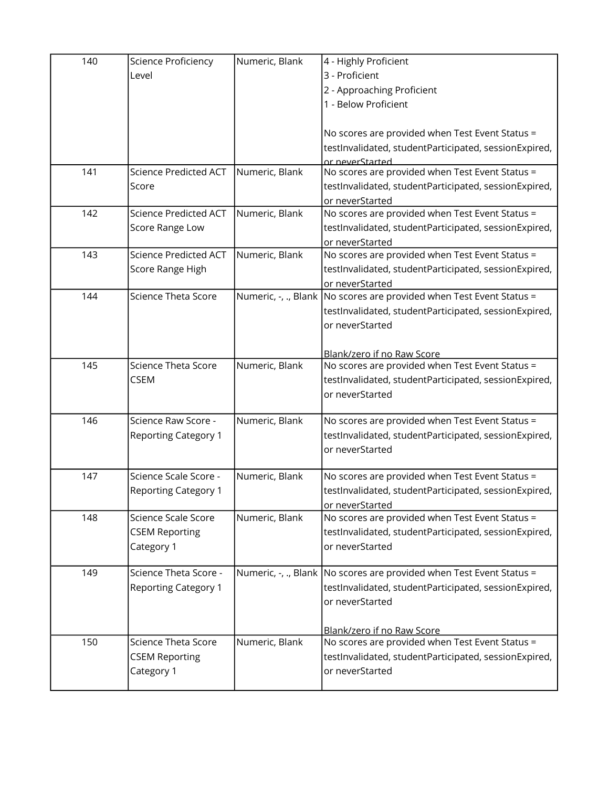| 140 | Science Proficiency          | Numeric, Blank | 4 - Highly Proficient                                                     |
|-----|------------------------------|----------------|---------------------------------------------------------------------------|
|     | Level                        |                | 3 - Proficient                                                            |
|     |                              |                | 2 - Approaching Proficient                                                |
|     |                              |                | 1 - Below Proficient                                                      |
|     |                              |                |                                                                           |
|     |                              |                | No scores are provided when Test Event Status =                           |
|     |                              |                | testInvalidated, studentParticipated, sessionExpired,                     |
|     |                              |                | or neverStarted                                                           |
| 141 | <b>Science Predicted ACT</b> | Numeric, Blank | No scores are provided when Test Event Status =                           |
|     | Score                        |                | testInvalidated, studentParticipated, sessionExpired,                     |
|     |                              |                | or neverStarted                                                           |
| 142 | <b>Science Predicted ACT</b> | Numeric, Blank | No scores are provided when Test Event Status =                           |
|     | Score Range Low              |                | testInvalidated, studentParticipated, sessionExpired,                     |
|     |                              |                | or neverStarted                                                           |
| 143 | <b>Science Predicted ACT</b> | Numeric, Blank | No scores are provided when Test Event Status =                           |
|     | Score Range High             |                | testInvalidated, studentParticipated, sessionExpired,                     |
|     |                              |                | or neverStarted                                                           |
| 144 | <b>Science Theta Score</b>   |                | Numeric, $-$ , ., Blank No scores are provided when Test Event Status =   |
|     |                              |                | testInvalidated, studentParticipated, sessionExpired,                     |
|     |                              |                | or neverStarted                                                           |
|     |                              |                |                                                                           |
|     |                              |                | Blank/zero if no Raw Score                                                |
| 145 | <b>Science Theta Score</b>   | Numeric, Blank | No scores are provided when Test Event Status =                           |
|     | <b>CSEM</b>                  |                | testInvalidated, studentParticipated, sessionExpired,                     |
|     |                              |                | or neverStarted                                                           |
| 146 | Science Raw Score -          | Numeric, Blank | No scores are provided when Test Event Status =                           |
|     | <b>Reporting Category 1</b>  |                | testInvalidated, studentParticipated, sessionExpired,                     |
|     |                              |                | or neverStarted                                                           |
|     |                              |                |                                                                           |
| 147 | Science Scale Score -        | Numeric, Blank | No scores are provided when Test Event Status =                           |
|     | <b>Reporting Category 1</b>  |                | testInvalidated, studentParticipated, sessionExpired,                     |
|     |                              |                | or neverStarted                                                           |
| 148 | Science Scale Score          | Numeric, Blank | No scores are provided when Test Event Status =                           |
|     | <b>CSEM Reporting</b>        |                | testInvalidated, studentParticipated, sessionExpired,                     |
|     | Category 1                   |                | or neverStarted                                                           |
|     |                              |                |                                                                           |
| 149 | Science Theta Score -        |                | Numeric, $-$ , ., Blank   No scores are provided when Test Event Status = |
|     | <b>Reporting Category 1</b>  |                | testInvalidated, studentParticipated, sessionExpired,                     |
|     |                              |                | or neverStarted                                                           |
|     |                              |                |                                                                           |
|     |                              |                | Blank/zero if no Raw Score                                                |
| 150 | <b>Science Theta Score</b>   | Numeric, Blank | No scores are provided when Test Event Status =                           |
|     | <b>CSEM Reporting</b>        |                | testInvalidated, studentParticipated, sessionExpired,                     |
|     | Category 1                   |                | or neverStarted                                                           |
|     |                              |                |                                                                           |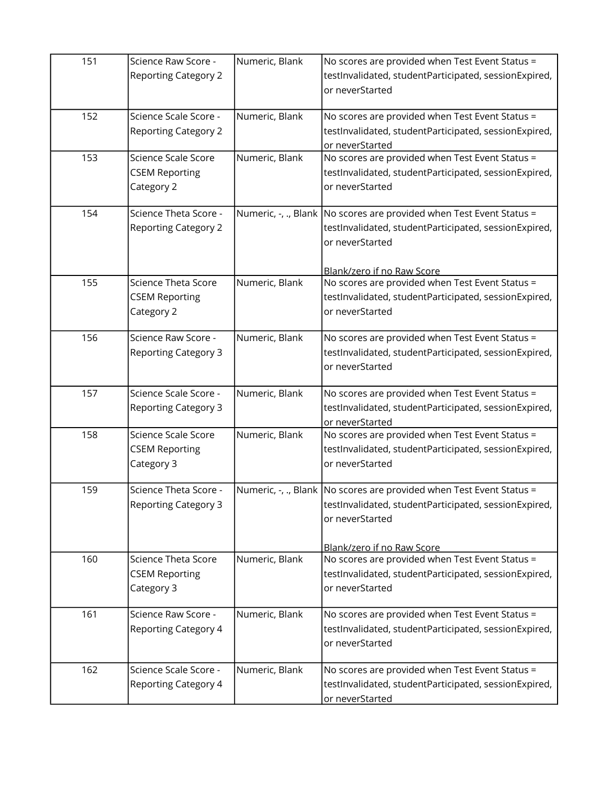| 151 | Science Raw Score -<br><b>Reporting Category 2</b>                | Numeric, Blank | No scores are provided when Test Event Status =<br>testInvalidated, studentParticipated, sessionExpired,<br>or neverStarted                                                         |
|-----|-------------------------------------------------------------------|----------------|-------------------------------------------------------------------------------------------------------------------------------------------------------------------------------------|
| 152 | Science Scale Score -<br><b>Reporting Category 2</b>              | Numeric, Blank | No scores are provided when Test Event Status =<br>testInvalidated, studentParticipated, sessionExpired,<br>or neverStarted                                                         |
| 153 | Science Scale Score<br><b>CSEM Reporting</b><br>Category 2        | Numeric, Blank | No scores are provided when Test Event Status =<br>testInvalidated, studentParticipated, sessionExpired,<br>or neverStarted                                                         |
| 154 | Science Theta Score -<br><b>Reporting Category 2</b>              |                | Numeric, $-$ , ., Blank No scores are provided when Test Event Status =<br>testInvalidated, studentParticipated, sessionExpired,<br>or neverStarted                                 |
| 155 | <b>Science Theta Score</b><br><b>CSEM Reporting</b><br>Category 2 | Numeric, Blank | Blank/zero if no Raw Score<br>No scores are provided when Test Event Status =<br>testInvalidated, studentParticipated, sessionExpired,<br>or neverStarted                           |
| 156 | Science Raw Score -<br><b>Reporting Category 3</b>                | Numeric, Blank | No scores are provided when Test Event Status =<br>testInvalidated, studentParticipated, sessionExpired,<br>or neverStarted                                                         |
| 157 | Science Scale Score -<br><b>Reporting Category 3</b>              | Numeric, Blank | No scores are provided when Test Event Status =<br>testInvalidated, studentParticipated, sessionExpired,<br>or neverStarted                                                         |
| 158 | Science Scale Score<br><b>CSEM Reporting</b><br>Category 3        | Numeric, Blank | No scores are provided when Test Event Status =<br>testInvalidated, studentParticipated, sessionExpired,<br>or neverStarted                                                         |
| 159 | Science Theta Score -<br><b>Reporting Category 3</b>              |                | Numeric, $-$ , ., Blank   No scores are provided when Test Event Status =<br>testInvalidated, studentParticipated, sessionExpired,<br>or neverStarted<br>Blank/zero if no Raw Score |
| 160 | <b>Science Theta Score</b><br><b>CSEM Reporting</b><br>Category 3 | Numeric, Blank | No scores are provided when Test Event Status =<br>testInvalidated, studentParticipated, sessionExpired,<br>or neverStarted                                                         |
| 161 | Science Raw Score -<br><b>Reporting Category 4</b>                | Numeric, Blank | No scores are provided when Test Event Status =<br>testInvalidated, studentParticipated, sessionExpired,<br>or neverStarted                                                         |
| 162 | Science Scale Score -<br><b>Reporting Category 4</b>              | Numeric, Blank | No scores are provided when Test Event Status =<br>testInvalidated, studentParticipated, sessionExpired,<br>or neverStarted                                                         |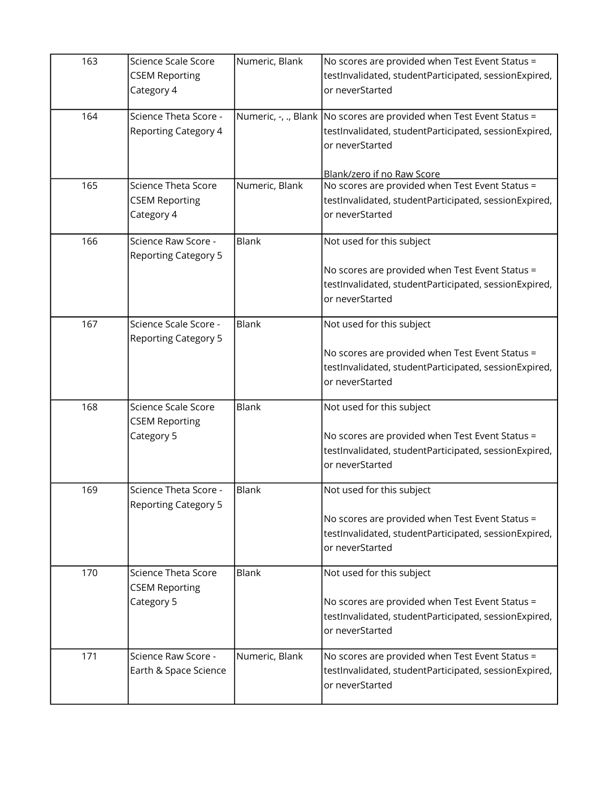| 163 | Science Scale Score<br><b>CSEM Reporting</b>                      | Numeric, Blank | No scores are provided when Test Event Status =<br>testInvalidated, studentParticipated, sessionExpired,                                                  |
|-----|-------------------------------------------------------------------|----------------|-----------------------------------------------------------------------------------------------------------------------------------------------------------|
|     | Category 4                                                        |                | or neverStarted                                                                                                                                           |
| 164 | Science Theta Score -<br><b>Reporting Category 4</b>              |                | Numeric, -, ., Blank No scores are provided when Test Event Status =<br>testInvalidated, studentParticipated, sessionExpired,<br>or neverStarted          |
| 165 | Science Theta Score<br><b>CSEM Reporting</b><br>Category 4        | Numeric, Blank | Blank/zero if no Raw Score<br>No scores are provided when Test Event Status =<br>testInvalidated, studentParticipated, sessionExpired,<br>or neverStarted |
| 166 | Science Raw Score -<br><b>Reporting Category 5</b>                | Blank          | Not used for this subject<br>No scores are provided when Test Event Status =<br>testInvalidated, studentParticipated, sessionExpired,<br>or neverStarted  |
| 167 | Science Scale Score -<br><b>Reporting Category 5</b>              | Blank          | Not used for this subject<br>No scores are provided when Test Event Status =<br>testInvalidated, studentParticipated, sessionExpired,<br>or neverStarted  |
| 168 | Science Scale Score<br><b>CSEM Reporting</b><br>Category 5        | Blank          | Not used for this subject<br>No scores are provided when Test Event Status =<br>testInvalidated, studentParticipated, sessionExpired,<br>or neverStarted  |
| 169 | Science Theta Score -<br><b>Reporting Category 5</b>              | Blank          | Not used for this subject<br>No scores are provided when Test Event Status =<br>testInvalidated, studentParticipated, sessionExpired,<br>or neverStarted  |
| 170 | <b>Science Theta Score</b><br><b>CSEM Reporting</b><br>Category 5 | <b>Blank</b>   | Not used for this subject<br>No scores are provided when Test Event Status =<br>testInvalidated, studentParticipated, sessionExpired,<br>or neverStarted  |
| 171 | Science Raw Score -<br>Earth & Space Science                      | Numeric, Blank | No scores are provided when Test Event Status =<br>testInvalidated, studentParticipated, sessionExpired,<br>or neverStarted                               |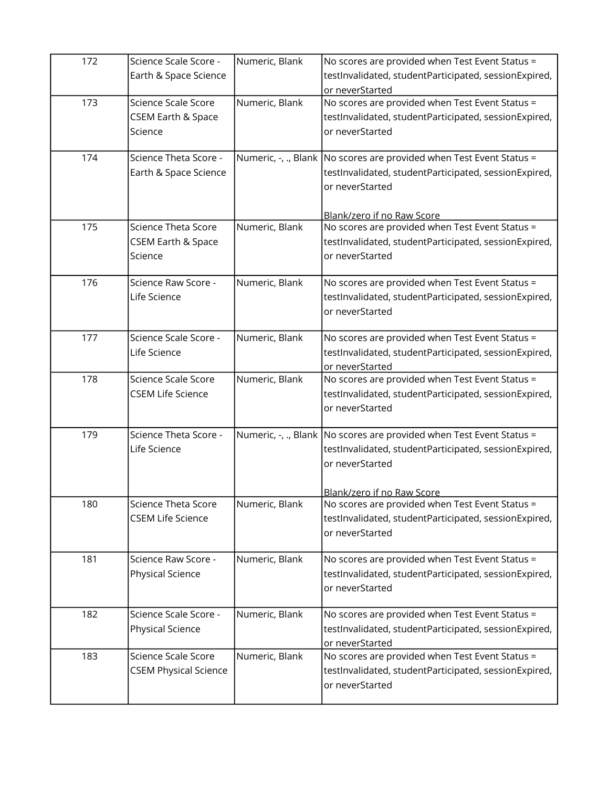| 172 | Science Scale Score -<br>Earth & Space Science                  | Numeric, Blank | No scores are provided when Test Event Status =<br>testInvalidated, studentParticipated, sessionExpired,<br>or neverStarted                                                      |
|-----|-----------------------------------------------------------------|----------------|----------------------------------------------------------------------------------------------------------------------------------------------------------------------------------|
| 173 | Science Scale Score<br><b>CSEM Earth &amp; Space</b><br>Science | Numeric, Blank | No scores are provided when Test Event Status =<br>testInvalidated, studentParticipated, sessionExpired,<br>or neverStarted                                                      |
| 174 | Science Theta Score -<br>Earth & Space Science                  |                | Numeric, -, ., Blank   No scores are provided when Test Event Status =<br>testInvalidated, studentParticipated, sessionExpired,<br>or neverStarted<br>Blank/zero if no Raw Score |
| 175 | <b>Science Theta Score</b><br>CSEM Earth & Space<br>Science     | Numeric, Blank | No scores are provided when Test Event Status =<br>testInvalidated, studentParticipated, sessionExpired,<br>or neverStarted                                                      |
| 176 | Science Raw Score -<br>Life Science                             | Numeric, Blank | No scores are provided when Test Event Status =<br>testInvalidated, studentParticipated, sessionExpired,<br>or neverStarted                                                      |
| 177 | Science Scale Score -<br>Life Science                           | Numeric, Blank | No scores are provided when Test Event Status =<br>testInvalidated, studentParticipated, sessionExpired,<br>or neverStarted                                                      |
| 178 | Science Scale Score<br><b>CSEM Life Science</b>                 | Numeric, Blank | No scores are provided when Test Event Status =<br>testInvalidated, studentParticipated, sessionExpired,<br>or neverStarted                                                      |
| 179 | Science Theta Score -<br>Life Science                           |                | Numeric, $-$ , ., Blank   No scores are provided when Test Event Status =<br>testInvalidated, studentParticipated, sessionExpired,<br>or neverStarted                            |
| 180 | <b>Science Theta Score</b><br><b>CSEM Life Science</b>          | Numeric, Blank | Blank/zero if no Raw Score<br>No scores are provided when Test Event Status =<br>testInvalidated, studentParticipated, sessionExpired,<br>or neverStarted                        |
| 181 | Science Raw Score -<br>Physical Science                         | Numeric, Blank | No scores are provided when Test Event Status =<br>testInvalidated, studentParticipated, sessionExpired,<br>or neverStarted                                                      |
| 182 | Science Scale Score -<br>Physical Science                       | Numeric, Blank | No scores are provided when Test Event Status =<br>testInvalidated, studentParticipated, sessionExpired,<br>or neverStarted                                                      |
| 183 | Science Scale Score<br><b>CSEM Physical Science</b>             | Numeric, Blank | No scores are provided when Test Event Status =<br>testInvalidated, studentParticipated, sessionExpired,<br>or neverStarted                                                      |